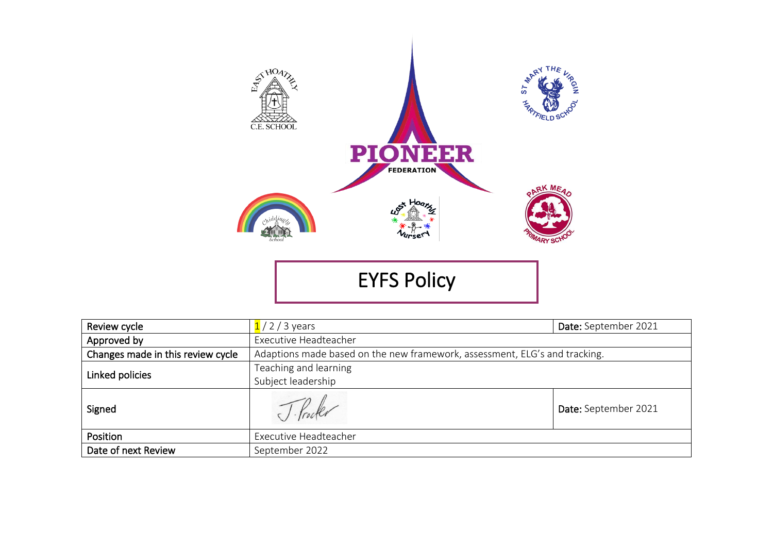

EYFS Policy

| Review cycle                      | $1/2/3$ years<br>Date: September 2021                                      |                      |  |
|-----------------------------------|----------------------------------------------------------------------------|----------------------|--|
| Approved by                       | Executive Headteacher                                                      |                      |  |
| Changes made in this review cycle | Adaptions made based on the new framework, assessment, ELG's and tracking. |                      |  |
| Linked policies                   | Teaching and learning                                                      |                      |  |
|                                   | Subject leadership                                                         |                      |  |
| Signed                            |                                                                            | Date: September 2021 |  |
| Position                          | Executive Headteacher                                                      |                      |  |
| Date of next Review               | September 2022                                                             |                      |  |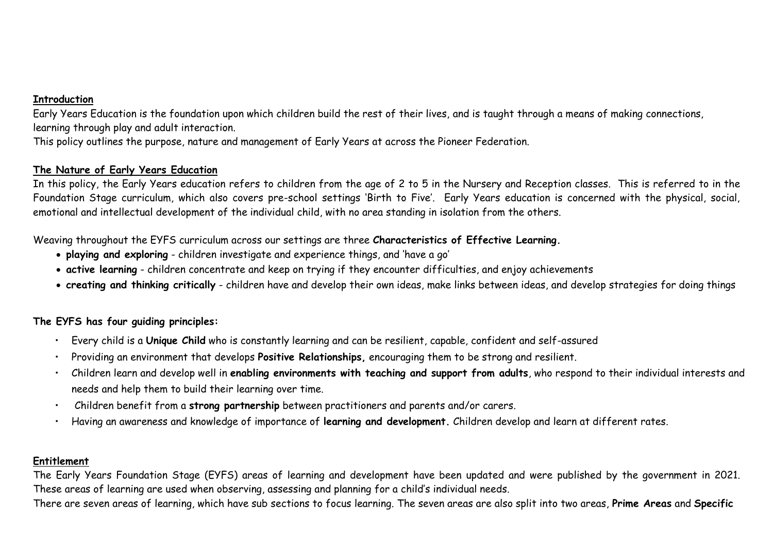# **Introduction**

Early Years Education is the foundation upon which children build the rest of their lives, and is taught through a means of making connections, learning through play and adult interaction.

This policy outlines the purpose, nature and management of Early Years at across the Pioneer Federation.

# **The Nature of Early Years Education**

In this policy, the Early Years education refers to children from the age of 2 to 5 in the Nursery and Reception classes. This is referred to in the Foundation Stage curriculum, which also covers pre-school settings 'Birth to Five'. Early Years education is concerned with the physical, social, emotional and intellectual development of the individual child, with no area standing in isolation from the others.

Weaving throughout the EYFS curriculum across our settings are three **Characteristics of Effective Learning.**

- **playing and exploring** children investigate and experience things, and 'have a go'
- **active learning** children concentrate and keep on trying if they encounter difficulties, and enjoy achievements
- **creating and thinking critically** children have and develop their own ideas, make links between ideas, and develop strategies for doing things

# **The EYFS has four guiding principles:**

- Every child is a **Unique Child** who is constantly learning and can be resilient, capable, confident and self-assured
- Providing an environment that develops **Positive Relationships,** encouraging them to be strong and resilient.
- Children learn and develop well in **enabling environments with teaching and support from adults**, who respond to their individual interests and needs and help them to build their learning over time.
- Children benefit from a **strong partnership** between practitioners and parents and/or carers.
- Having an awareness and knowledge of importance of **learning and development.** Children develop and learn at different rates.

### **Entitlement**

The Early Years Foundation Stage (EYFS) areas of learning and development have been updated and were published by the government in 2021. These areas of learning are used when observing, assessing and planning for a child's individual needs.

There are seven areas of learning, which have sub sections to focus learning. The seven areas are also split into two areas, **Prime Areas** and **Specific**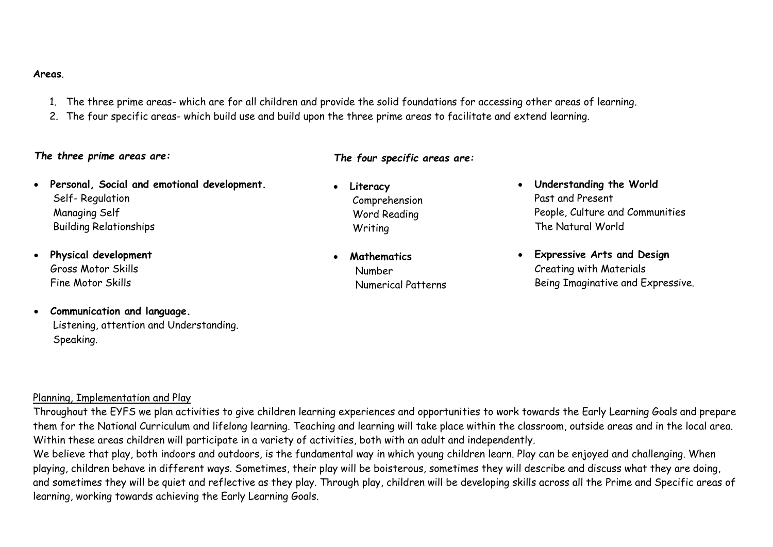#### **Areas**.

- 1. The three prime areas- which are for all children and provide the solid foundations for accessing other areas of learning.
- 2. The four specific areas- which build use and build upon the three prime areas to facilitate and extend learning.

#### *The three prime areas are:*

- **Personal, Social and emotional development.** Self- Regulation Managing Self Building Relationships
- **Physical development** Gross Motor Skills Fine Motor Skills
- **Communication and language.** Listening, attention and Understanding. Speaking.

# *The four specific areas are:*

- **Literacy** Comprehension Word Reading Writing
- **Mathematics** Number Numerical Patterns
- **Understanding the World** Past and Present People, Culture and Communities The Natural World
- **Expressive Arts and Design** Creating with Materials Being Imaginative and Expressive.

### Planning, Implementation and Play

Throughout the EYFS we plan activities to give children learning experiences and opportunities to work towards the Early Learning Goals and prepare them for the National Curriculum and lifelong learning. Teaching and learning will take place within the classroom, outside areas and in the local area. Within these areas children will participate in a variety of activities, both with an adult and independently.

We believe that play, both indoors and outdoors, is the fundamental way in which young children learn. Play can be enjoyed and challenging. When playing, children behave in different ways. Sometimes, their play will be boisterous, sometimes they will describe and discuss what they are doing, and sometimes they will be quiet and reflective as they play. Through play, children will be developing skills across all the Prime and Specific areas of learning, working towards achieving the Early Learning Goals.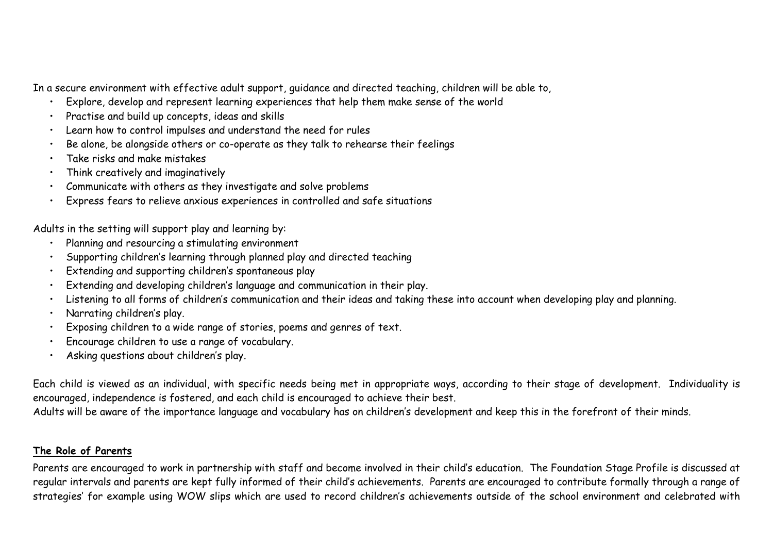In a secure environment with effective adult support, guidance and directed teaching, children will be able to,

- Explore, develop and represent learning experiences that help them make sense of the world
- Practise and build up concepts, ideas and skills
- Learn how to control impulses and understand the need for rules
- Be alone, be alongside others or co-operate as they talk to rehearse their feelings
- Take risks and make mistakes
- Think creatively and imaginatively
- Communicate with others as they investigate and solve problems
- Express fears to relieve anxious experiences in controlled and safe situations

Adults in the setting will support play and learning by:

- Planning and resourcing a stimulating environment
- Supporting children's learning through planned play and directed teaching
- Extending and supporting children's spontaneous play
- Extending and developing children's language and communication in their play.
- Listening to all forms of children's communication and their ideas and taking these into account when developing play and planning.
- Narrating children's play.
- Exposing children to a wide range of stories, poems and genres of text.
- Encourage children to use a range of vocabulary.
- Asking questions about children's play.

Each child is viewed as an individual, with specific needs being met in appropriate ways, according to their stage of development. Individuality is encouraged, independence is fostered, and each child is encouraged to achieve their best.

Adults will be aware of the importance language and vocabulary has on children's development and keep this in the forefront of their minds.

# **The Role of Parents**

Parents are encouraged to work in partnership with staff and become involved in their child's education. The Foundation Stage Profile is discussed at regular intervals and parents are kept fully informed of their child's achievements. Parents are encouraged to contribute formally through a range of strategies' for example using WOW slips which are used to record children's achievements outside of the school environment and celebrated with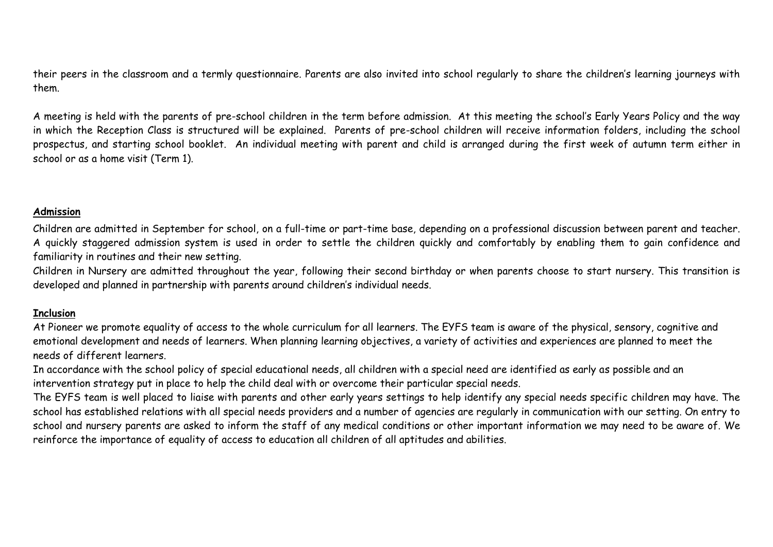their peers in the classroom and a termly questionnaire. Parents are also invited into school regularly to share the children's learning journeys with them.

A meeting is held with the parents of pre-school children in the term before admission. At this meeting the school's Early Years Policy and the way in which the Reception Class is structured will be explained. Parents of pre-school children will receive information folders, including the school prospectus, and starting school booklet. An individual meeting with parent and child is arranged during the first week of autumn term either in school or as a home visit (Term 1).

### **Admission**

Children are admitted in September for school, on a full-time or part-time base, depending on a professional discussion between parent and teacher. A quickly staggered admission system is used in order to settle the children quickly and comfortably by enabling them to gain confidence and familiarity in routines and their new setting.

Children in Nursery are admitted throughout the year, following their second birthday or when parents choose to start nursery. This transition is developed and planned in partnership with parents around children's individual needs.

# **Inclusion**

At Pioneer we promote equality of access to the whole curriculum for all learners. The EYFS team is aware of the physical, sensory, cognitive and emotional development and needs of learners. When planning learning objectives, a variety of activities and experiences are planned to meet the needs of different learners.

In accordance with the school policy of special educational needs, all children with a special need are identified as early as possible and an intervention strategy put in place to help the child deal with or overcome their particular special needs.

The EYFS team is well placed to liaise with parents and other early years settings to help identify any special needs specific children may have. The school has established relations with all special needs providers and a number of agencies are regularly in communication with our setting. On entry to school and nursery parents are asked to inform the staff of any medical conditions or other important information we may need to be aware of. We reinforce the importance of equality of access to education all children of all aptitudes and abilities.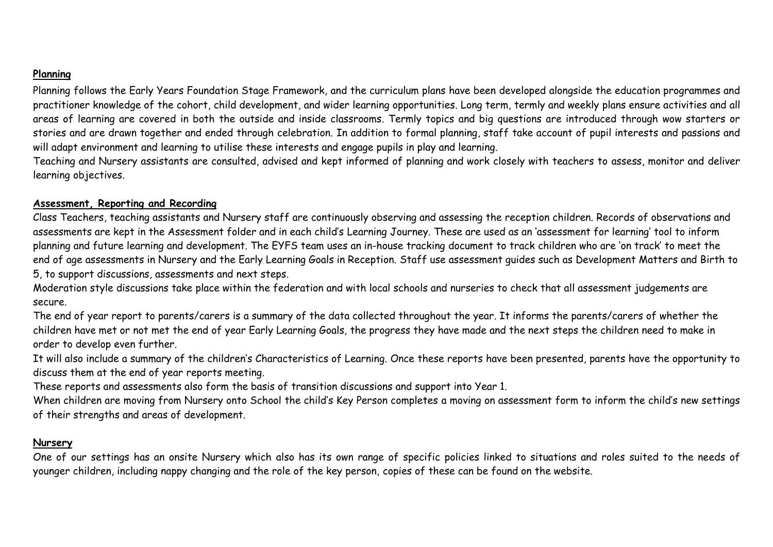# **Planning**

Planning follows the Early Years Foundation Stage Framework, and the curriculum plans have been developed alongside the education programmes and practitioner knowledge of the cohort, child development, and wider learning opportunities. Long term, termly and weekly plans ensure activities and all areas of learning are covered in both the outside and inside classrooms. Termly topics and big questions are introduced through wow starters or stories and are drawn together and ended through celebration. In addition to formal planning, staff take account of pupil interests and passions and will adapt environment and learning to utilise these interests and engage pupils in play and learning.

Teaching and Nursery assistants are consulted, advised and kept informed of planning and work closely with teachers to assess, monitor and deliver learning objectives.

### **Assessment, Reporting and Recording**

Class Teachers, teaching assistants and Nursery staff are continuously observing and assessing the reception children. Records of observations and assessments are kept in the Assessment folder and in each child's Learning Journey. These are used as an 'assessment for learning' tool to inform planning and future learning and development. The EYFS team uses an in-house tracking document to track children who are 'on track' to meet the end of age assessments in Nursery and the Early Learning Goals in Reception. Staff use assessment guides such as Development Matters and Birth to 5, to support discussions, assessments and next steps.

Moderation style discussions take place within the federation and with local schools and nurseries to check that all assessment judgements are secure.

The end of year report to parents/carers is a summary of the data collected throughout the year. It informs the parents/carers of whether the children have met or not met the end of year Early Learning Goals, the progress they have made and the next steps the children need to make in order to develop even further.

It will also include a summary of the children's Characteristics of Learning. Once these reports have been presented, parents have the opportunity to discuss them at the end of year reports meeting.

These reports and assessments also form the basis of transition discussions and support into Year 1.

When children are moving from Nursery onto School the child's Key Person completes a moving on assessment form to inform the child's new settings of their strengths and areas of development.

### **Nursery**

One of our settings has an onsite Nursery which also has its own range of specific policies linked to situations and roles suited to the needs of younger children, including nappy changing and the role of the key person, copies of these can be found on the website.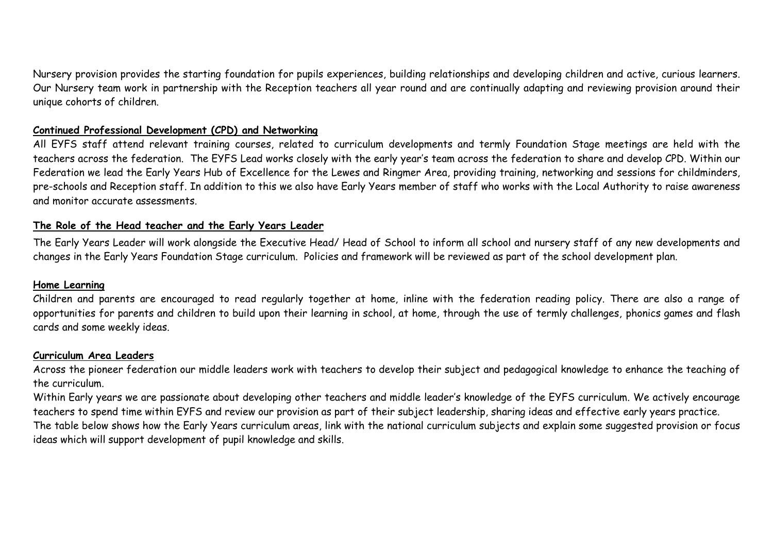Nursery provision provides the starting foundation for pupils experiences, building relationships and developing children and active, curious learners. Our Nursery team work in partnership with the Reception teachers all year round and are continually adapting and reviewing provision around their unique cohorts of children.

### **Continued Professional Development (CPD) and Networking**

All EYFS staff attend relevant training courses, related to curriculum developments and termly Foundation Stage meetings are held with the teachers across the federation. The EYFS Lead works closely with the early year's team across the federation to share and develop CPD. Within our Federation we lead the Early Years Hub of Excellence for the Lewes and Ringmer Area, providing training, networking and sessions for childminders, pre-schools and Reception staff. In addition to this we also have Early Years member of staff who works with the Local Authority to raise awareness and monitor accurate assessments.

### **The Role of the Head teacher and the Early Years Leader**

The Early Years Leader will work alongside the Executive Head/ Head of School to inform all school and nursery staff of any new developments and changes in the Early Years Foundation Stage curriculum. Policies and framework will be reviewed as part of the school development plan.

### **Home Learning**

Children and parents are encouraged to read regularly together at home, inline with the federation reading policy. There are also a range of opportunities for parents and children to build upon their learning in school, at home, through the use of termly challenges, phonics games and flash cards and some weekly ideas.

### **Curriculum Area Leaders**

Across the pioneer federation our middle leaders work with teachers to develop their subject and pedagogical knowledge to enhance the teaching of the curriculum.

Within Early years we are passionate about developing other teachers and middle leader's knowledge of the EYFS curriculum. We actively encourage teachers to spend time within EYFS and review our provision as part of their subject leadership, sharing ideas and effective early years practice. The table below shows how the Early Years curriculum areas, link with the national curriculum subjects and explain some suggested provision or focus ideas which will support development of pupil knowledge and skills.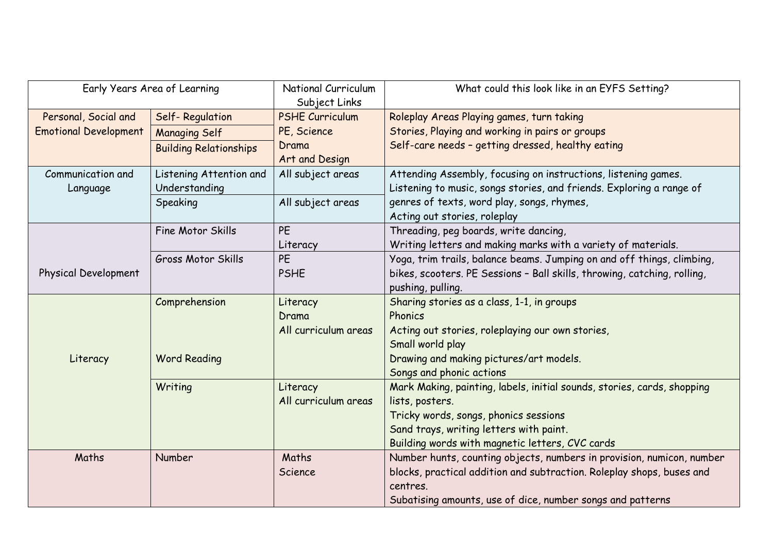| Early Years Area of Learning |                               | National Curriculum    | What could this look like in an EYFS Setting?                            |
|------------------------------|-------------------------------|------------------------|--------------------------------------------------------------------------|
|                              |                               | Subject Links          |                                                                          |
| Personal, Social and         | Self-Regulation               | <b>PSHE Curriculum</b> | Roleplay Areas Playing games, turn taking                                |
| <b>Emotional Development</b> | <b>Managing Self</b>          | PE, Science            | Stories, Playing and working in pairs or groups                          |
|                              | <b>Building Relationships</b> | Drama                  | Self-care needs - getting dressed, healthy eating                        |
|                              |                               | Art and Design         |                                                                          |
| Communication and            | Listening Attention and       | All subject areas      | Attending Assembly, focusing on instructions, listening games.           |
| Language                     | Understanding                 |                        | Listening to music, songs stories, and friends. Exploring a range of     |
|                              | Speaking                      | All subject areas      | genres of texts, word play, songs, rhymes,                               |
|                              |                               |                        | Acting out stories, roleplay                                             |
|                              | Fine Motor Skills             | <b>PE</b>              | Threading, peg boards, write dancing,                                    |
|                              |                               | Literacy               | Writing letters and making marks with a variety of materials.            |
|                              | Gross Motor Skills            | <b>PE</b>              | Yoga, trim trails, balance beams. Jumping on and off things, climbing,   |
| Physical Development         |                               | <b>PSHE</b>            | bikes, scooters. PE Sessions - Ball skills, throwing, catching, rolling, |
|                              |                               |                        | pushing, pulling.                                                        |
|                              | Comprehension                 | Literacy               | Sharing stories as a class, 1-1, in groups                               |
|                              |                               | Drama                  | Phonics                                                                  |
|                              |                               | All curriculum areas   | Acting out stories, roleplaying our own stories,                         |
|                              |                               |                        | Small world play                                                         |
| Literacy                     | <b>Word Reading</b>           |                        | Drawing and making pictures/art models.                                  |
|                              |                               |                        | Songs and phonic actions                                                 |
|                              | Writing                       | Literacy               | Mark Making, painting, labels, initial sounds, stories, cards, shopping  |
|                              |                               | All curriculum areas   | lists, posters.                                                          |
|                              |                               |                        | Tricky words, songs, phonics sessions                                    |
|                              |                               |                        | Sand trays, writing letters with paint.                                  |
|                              |                               |                        | Building words with magnetic letters, CVC cards                          |
| Maths                        | Number                        | Maths                  | Number hunts, counting objects, numbers in provision, numicon, number    |
|                              |                               | Science                | blocks, practical addition and subtraction. Roleplay shops, buses and    |
|                              |                               |                        | centres.                                                                 |
|                              |                               |                        | Subatising amounts, use of dice, number songs and patterns               |